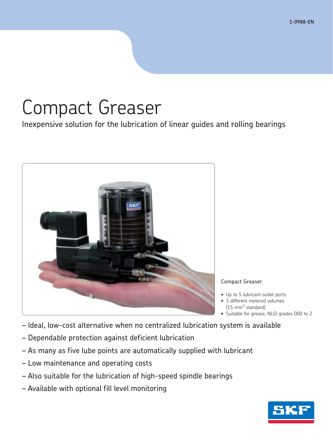# Compact Greaser

Inexpensive solution for the lubrication of linear guides and rolling bearings



### Compact Greaser

- Up to 5 lubricant outlet ports
- 3 different metered volumes  $(15 \text{ mm}^3 \text{ standard})$
- Suitable for grease, NLGI grades 000 to 2
- Ideal, low-cost alternative when no centralized lubrication system is available
- Dependable protection against deficient lubrication
- As many as five lube points are automatically supplied with lubricant
- Low maintenance and operating costs
- Also suitable for the lubrication of high-speed spindle bearings
- Available with optional fill level monitoring

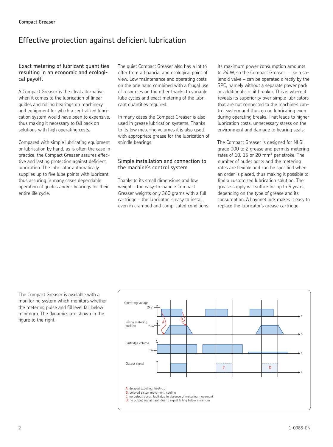# Effective protection against deficient lubrication

### Exact metering of lubricant quantities resulting in an economic and ecological payoff.

A Compact Greaser is the ideal alternative when it comes to the lubrication of linear guides and rolling bearings on machinery and equipment for which a centralized lubrication system would have been to expensive, thus making it necessary to fall back on solutions with high operating costs.

Compared with simple lubricating equipment or lubrication by hand, as is often the case in practice, the Compact Greaser assures effective and lasting protection against deficient lubrication. The lubricator automatically supplies up to five lube points with lubricant, thus assuring in many cases dependable operation of guides and/or bearings for their entire life cycle.

The quiet Compact Greaser also has a lot to offer from a financial and ecological point of view. Low maintenance and operating costs on the one hand combined with a frugal use of resources on the other thanks to variable lube cycles and exact metering of the lubricant quantities required.

In many cases the Compact Greaser is also used in grease lubrication systems. Thanks to its low metering volumes it is also used with appropriate grease for the lubrication of spindle bearings.

### Simple installation and connection to the machine's control system

Thanks to its small dimensions and low weight – the easy-to-handle Compact Greaser weights only 360 grams with a full cartridge – the lubricator is easy to install, even in cramped and complicated conditions. Its maximum power consumption amounts to 24 W, so the Compact Greaser – like a solenoid valve – can be operated directly by the SPC, namely without a separate power pack or additional circuit breaker. This is where it reveals its superiority over simple lubricators that are not connected to the machine's control system and thus go on lubricating even during operating breaks. That leads to higher lubrication costs, unnecessary stress on the environment and damage to bearing seals.

The Compact Greaser is designed for NLGI grade 000 to 2 grease and permits metering rates of 10, 15 or 20  $\text{mm}^3$  per stroke. The number of outlet ports and the metering rates are flexible and can be specified when an order is placed, thus making it possible to find a customized lubrication solution. The grease supply will suffice for up to 5 years, depending on the type of grease and its consumption. A bayonet lock makes it easy to replace the lubricator's grease cartridge.

The Compact Greaser is available with a monitoring system which monitors whether the metering pulse and fill level fall below minimum. The dynamics are shown in the figure to the right.

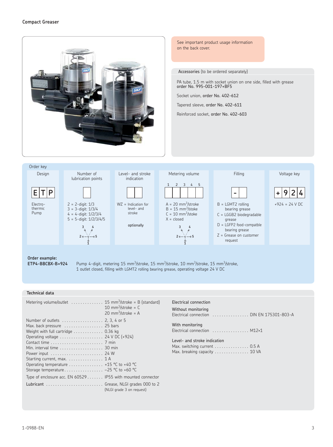



Electrothermic Pump



**" # 2** + - - - <del>Y</del> - - - + 5 

WZ = Indication for level- and stroke

optionally



**E T P - + 9 2 4** B = LGMT2 rolling bearing grease C = LGGB2 biodegradable grease D = LGFP2 food-compatble bearing grease





+924 = 24 V DC

**Order example:**

**ETP4-BBCBX-B+924** Pump 4-digit, metering 15 mm<sup>3</sup>/stroke, 15 mm<sup>3</sup>/stroke, 10 mm<sup>3</sup>/stroke, 15 mm<sup>3</sup>/stroke, 1 outlet closed, filling with LGMT2 rolling bearing grease, operating voltage 24 V DC

### **Technical data**

|                                                                                                                                                                                                                                                                                                                                                                                                                    | 10 mm <sup>3</sup> /stroke = $C$<br>20 mm <sup>3</sup> /stroke = A |
|--------------------------------------------------------------------------------------------------------------------------------------------------------------------------------------------------------------------------------------------------------------------------------------------------------------------------------------------------------------------------------------------------------------------|--------------------------------------------------------------------|
| Number of outlets  2, 3, 4 or 5<br>Max. back pressure  25 bars<br>Weight with full cartridge $\ldots \ldots \ldots \ldots$ 0.36 kg<br>Operating voltage  24 V DC (+924)<br>Min. interval time 30 min<br>Starting current, max. $\dots\dots\dots\dots\dots$ 1 A<br>Operating temperature  +15 °C to +40 °C<br>Storage temperature -25 °C to +60 °C<br>Type of enclosure acc. $EN 60529$ IP55 with mounted connector |                                                                    |
| Lubricant  Grease, NLGI grades 000 to 2                                                                                                                                                                                                                                                                                                                                                                            | (NLGI grade 3 on request)                                          |

Electrical connection

Without monitoring Electrical connection . . . . . . . . . . . . . . . . DIN EN 175301-803-A

With monitoring Electrical connection . . . . . . . . . . . . . . . . M12×1

| Level- and stroke indication                                      |  |
|-------------------------------------------------------------------|--|
| Max. switching current $\dots\dots\dots\dots\dots$ 0.5 A          |  |
| Max. breaking capacity $\ldots \ldots \ldots \ldots \ldots$ 10 VA |  |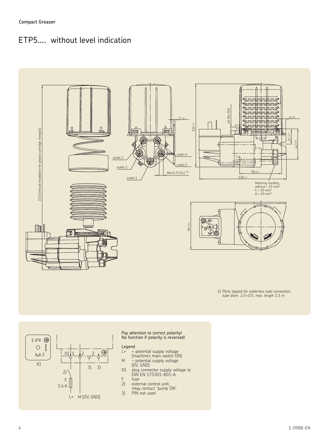# ETP5.... without level indication



*1) Ports tapped for solderless tube connection, tube diam. 2.5 × 0.5, max. length 1.5 m* 



Pay attention to correct polarity! No function if polarity is reversed!

# Legend<br> $L+$

- L+ + potential supply voltage
- (machine's main switch ON) M – potential supply voltage
- (0V, GND)
- X1 plug connector supply voltage to DIN EN 175301-803-A
- F fuse<br>2) exter
- 2) external control unit; relay contact "pump ON"
- 3) PIN not used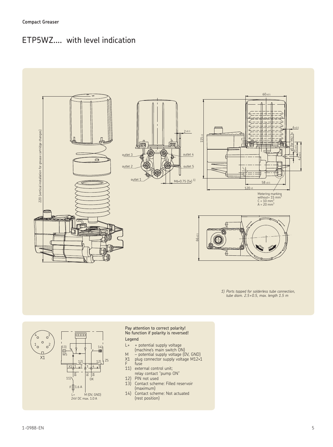## ETP5WZ.... with level indication



*1) Ports tapped for solderless tube connection, tube diam. 2.5 × 0.5, max. length 1.5 m* 



### Pay attention to correct polarity! No function if polarity is reversed!

Legend

- L+ + potential supply voltage
- (machine's main switch ON) M – potential supply voltage (0V, GND)
- X1 plug connector supply voltage M12×1
- F fuse
- 11) external control unit;
- relay contact "pump ON"
- 12) PIN not used
- 13) Contact scheme: Filled reservoir (maximum)<br>14) Contact sche
- Contact scheme: Not actuated (rest position)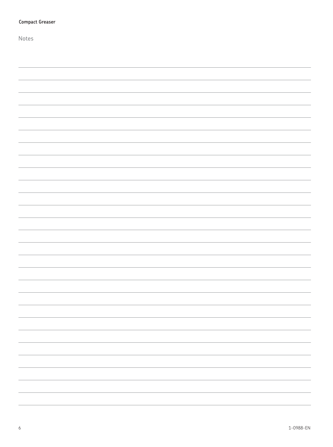| <b>Compact Greaser</b> |
|------------------------|
| Notes                  |
|                        |
|                        |
|                        |
|                        |
|                        |
|                        |
|                        |
|                        |
|                        |
|                        |
|                        |
|                        |
|                        |
|                        |
|                        |
|                        |
|                        |
|                        |
|                        |
|                        |
|                        |
|                        |
|                        |
|                        |
|                        |
|                        |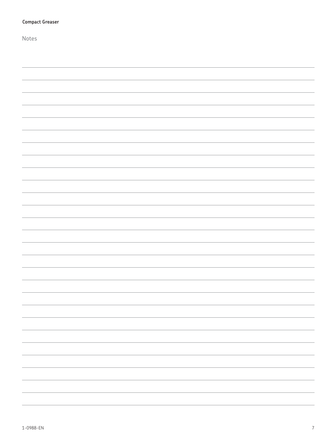| <b>Compact Greaser</b> |
|------------------------|
| Notes                  |
|                        |
|                        |
|                        |
|                        |
|                        |
|                        |
|                        |
|                        |
|                        |
|                        |
|                        |
|                        |
|                        |
|                        |
|                        |
|                        |
|                        |
|                        |
|                        |
|                        |
|                        |
|                        |
|                        |
|                        |
|                        |
|                        |